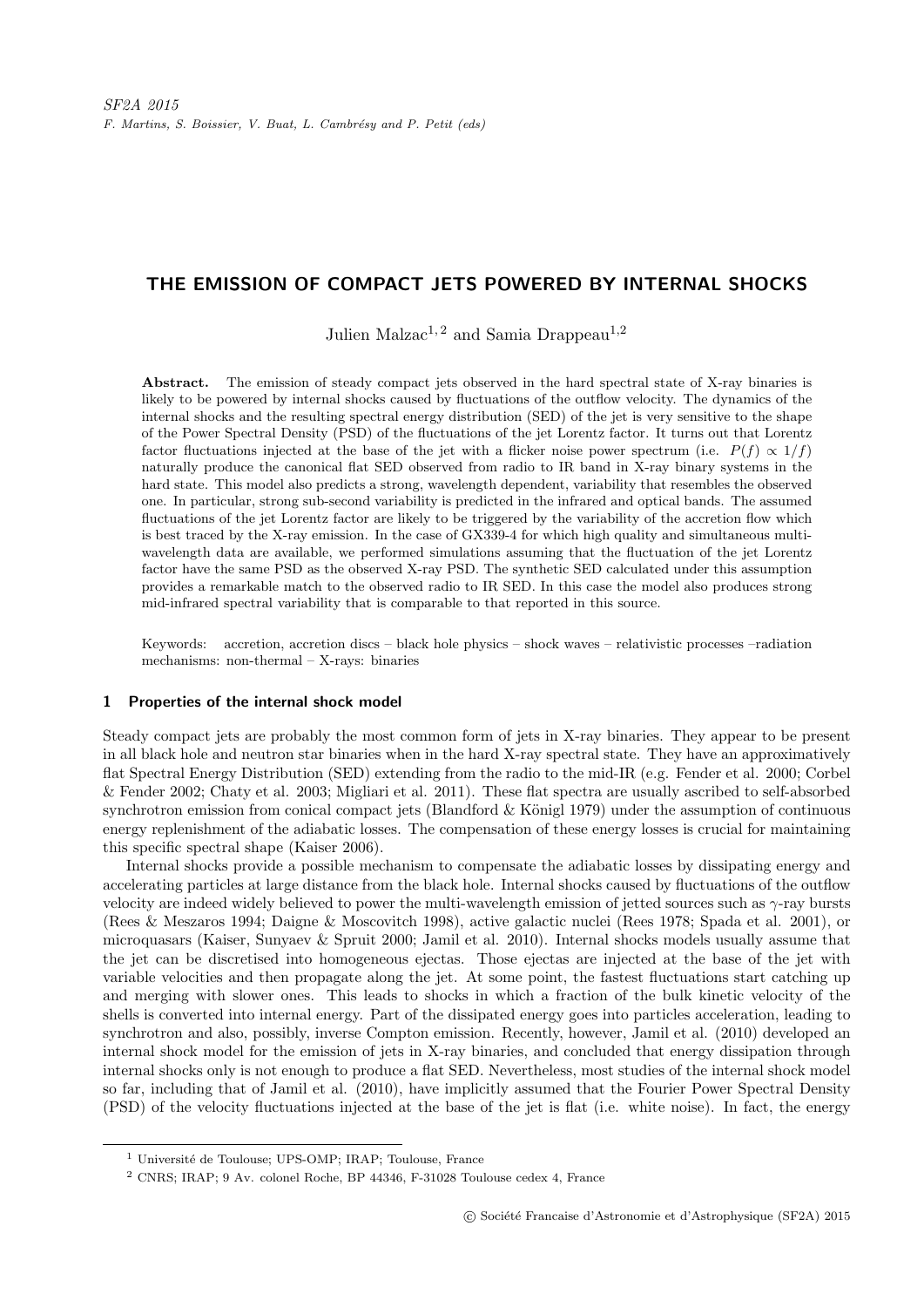# THE EMISSION OF COMPACT JETS POWERED BY INTERNAL SHOCKS

Julien Malzac<sup>1, 2</sup> and Samia Drappeau<sup>1, 2</sup>

Abstract. The emission of steady compact jets observed in the hard spectral state of X-ray binaries is likely to be powered by internal shocks caused by fluctuations of the outflow velocity. The dynamics of the internal shocks and the resulting spectral energy distribution (SED) of the jet is very sensitive to the shape of the Power Spectral Density (PSD) of the fluctuations of the jet Lorentz factor. It turns out that Lorentz factor fluctuations injected at the base of the jet with a flicker noise power spectrum (i.e.  $P(f) \propto 1/f$ ) naturally produce the canonical flat SED observed from radio to IR band in X-ray binary systems in the hard state. This model also predicts a strong, wavelength dependent, variability that resembles the observed one. In particular, strong sub-second variability is predicted in the infrared and optical bands. The assumed fluctuations of the jet Lorentz factor are likely to be triggered by the variability of the accretion flow which is best traced by the X-ray emission. In the case of GX339-4 for which high quality and simultaneous multiwavelength data are available, we performed simulations assuming that the fluctuation of the jet Lorentz factor have the same PSD as the observed X-ray PSD. The synthetic SED calculated under this assumption provides a remarkable match to the observed radio to IR SED. In this case the model also produces strong mid-infrared spectral variability that is comparable to that reported in this source.

Keywords: accretion, accretion discs – black hole physics – shock waves – relativistic processes –radiation mechanisms: non-thermal – X-rays: binaries

#### 1 Properties of the internal shock model

Steady compact jets are probably the most common form of jets in X-ray binaries. They appear to be present in all black hole and neutron star binaries when in the hard X-ray spectral state. They have an approximatively flat Spectral Energy Distribution (SED) extending from the radio to the mid-IR (e.g. Fender et al. 2000; Corbel & Fender 2002; Chaty et al. 2003; Migliari et al. 2011). These flat spectra are usually ascribed to self-absorbed synchrotron emission from conical compact jets (Blandford  $\&$  Königl 1979) under the assumption of continuous energy replenishment of the adiabatic losses. The compensation of these energy losses is crucial for maintaining this specific spectral shape (Kaiser 2006).

Internal shocks provide a possible mechanism to compensate the adiabatic losses by dissipating energy and accelerating particles at large distance from the black hole. Internal shocks caused by fluctuations of the outflow velocity are indeed widely believed to power the multi-wavelength emission of jetted sources such as γ-ray bursts (Rees & Meszaros 1994; Daigne & Moscovitch 1998), active galactic nuclei (Rees 1978; Spada et al. 2001), or microquasars (Kaiser, Sunyaev & Spruit 2000; Jamil et al. 2010). Internal shocks models usually assume that the jet can be discretised into homogeneous ejectas. Those ejectas are injected at the base of the jet with variable velocities and then propagate along the jet. At some point, the fastest fluctuations start catching up and merging with slower ones. This leads to shocks in which a fraction of the bulk kinetic velocity of the shells is converted into internal energy. Part of the dissipated energy goes into particles acceleration, leading to synchrotron and also, possibly, inverse Compton emission. Recently, however, Jamil et al. (2010) developed an internal shock model for the emission of jets in X-ray binaries, and concluded that energy dissipation through internal shocks only is not enough to produce a flat SED. Nevertheless, most studies of the internal shock model so far, including that of Jamil et al. (2010), have implicitly assumed that the Fourier Power Spectral Density (PSD) of the velocity fluctuations injected at the base of the jet is flat (i.e. white noise). In fact, the energy

<sup>&</sup>lt;sup>1</sup> Université de Toulouse; UPS-OMP; IRAP; Toulouse, France

<sup>2</sup> CNRS; IRAP; 9 Av. colonel Roche, BP 44346, F-31028 Toulouse cedex 4, France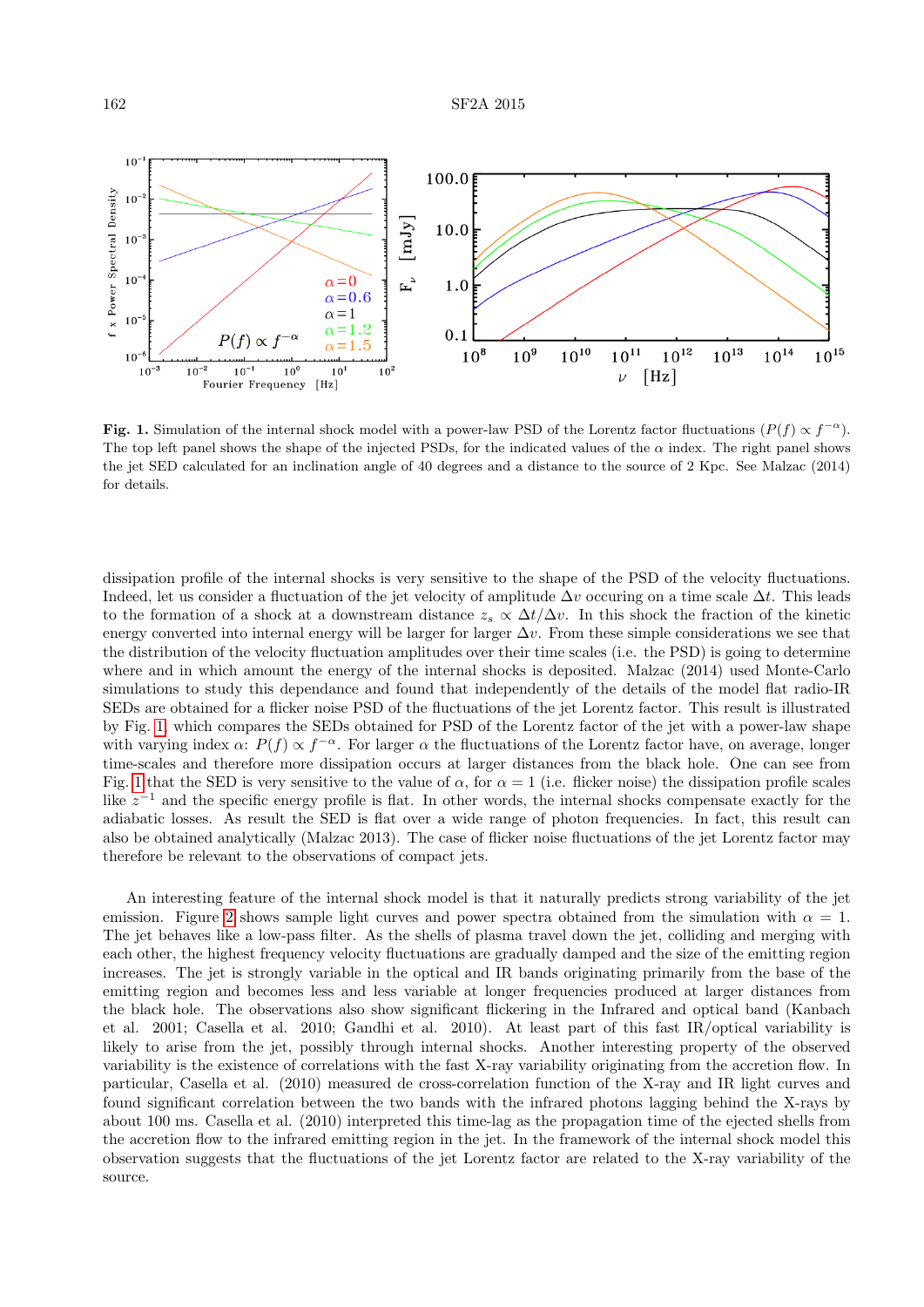

<span id="page-1-0"></span>**Fig. 1.** Simulation of the internal shock model with a power-law PSD of the Lorentz factor fluctuations  $(P(f) \propto f^{-\alpha})$ . The top left panel shows the shape of the injected PSDs, for the indicated values of the  $\alpha$  index. The right panel shows the jet SED calculated for an inclination angle of 40 degrees and a distance to the source of 2 Kpc. See Malzac (2014) for details.

dissipation profile of the internal shocks is very sensitive to the shape of the PSD of the velocity fluctuations. Indeed, let us consider a fluctuation of the jet velocity of amplitude  $\Delta v$  occuring on a time scale  $\Delta t$ . This leads to the formation of a shock at a downstream distance  $z_s \propto \Delta t/\Delta v$ . In this shock the fraction of the kinetic energy converted into internal energy will be larger for larger  $\Delta v$ . From these simple considerations we see that the distribution of the velocity fluctuation amplitudes over their time scales (i.e. the PSD) is going to determine where and in which amount the energy of the internal shocks is deposited. Malzac (2014) used Monte-Carlo simulations to study this dependance and found that independently of the details of the model flat radio-IR SEDs are obtained for a flicker noise PSD of the fluctuations of the jet Lorentz factor. This result is illustrated by Fig. [1,](#page-1-0) which compares the SEDs obtained for PSD of the Lorentz factor of the jet with a power-law shape with varying index  $\alpha$ :  $P(f) \propto f^{-\alpha}$ . For larger  $\alpha$  the fluctuations of the Lorentz factor have, on average, longer time-scales and therefore more dissipation occurs at larger distances from the black hole. One can see from Fig. [1](#page-1-0) that the SED is very sensitive to the value of  $\alpha$ , for  $\alpha = 1$  (i.e. flicker noise) the dissipation profile scales like  $z^{-1}$  and the specific energy profile is flat. In other words, the internal shocks compensate exactly for the adiabatic losses. As result the SED is flat over a wide range of photon frequencies. In fact, this result can also be obtained analytically (Malzac 2013). The case of flicker noise fluctuations of the jet Lorentz factor may therefore be relevant to the observations of compact jets.

An interesting feature of the internal shock model is that it naturally predicts strong variability of the jet emission. Figure [2](#page-2-0) shows sample light curves and power spectra obtained from the simulation with  $\alpha = 1$ . The jet behaves like a low-pass filter. As the shells of plasma travel down the jet, colliding and merging with each other, the highest frequency velocity fluctuations are gradually damped and the size of the emitting region increases. The jet is strongly variable in the optical and IR bands originating primarily from the base of the emitting region and becomes less and less variable at longer frequencies produced at larger distances from the black hole. The observations also show significant flickering in the Infrared and optical band (Kanbach et al. 2001; Casella et al. 2010; Gandhi et al. 2010). At least part of this fast IR/optical variability is likely to arise from the jet, possibly through internal shocks. Another interesting property of the observed variability is the existence of correlations with the fast X-ray variability originating from the accretion flow. In particular, Casella et al. (2010) measured de cross-correlation function of the X-ray and IR light curves and found significant correlation between the two bands with the infrared photons lagging behind the X-rays by about 100 ms. Casella et al. (2010) interpreted this time-lag as the propagation time of the ejected shells from the accretion flow to the infrared emitting region in the jet. In the framework of the internal shock model this observation suggests that the fluctuations of the jet Lorentz factor are related to the X-ray variability of the source.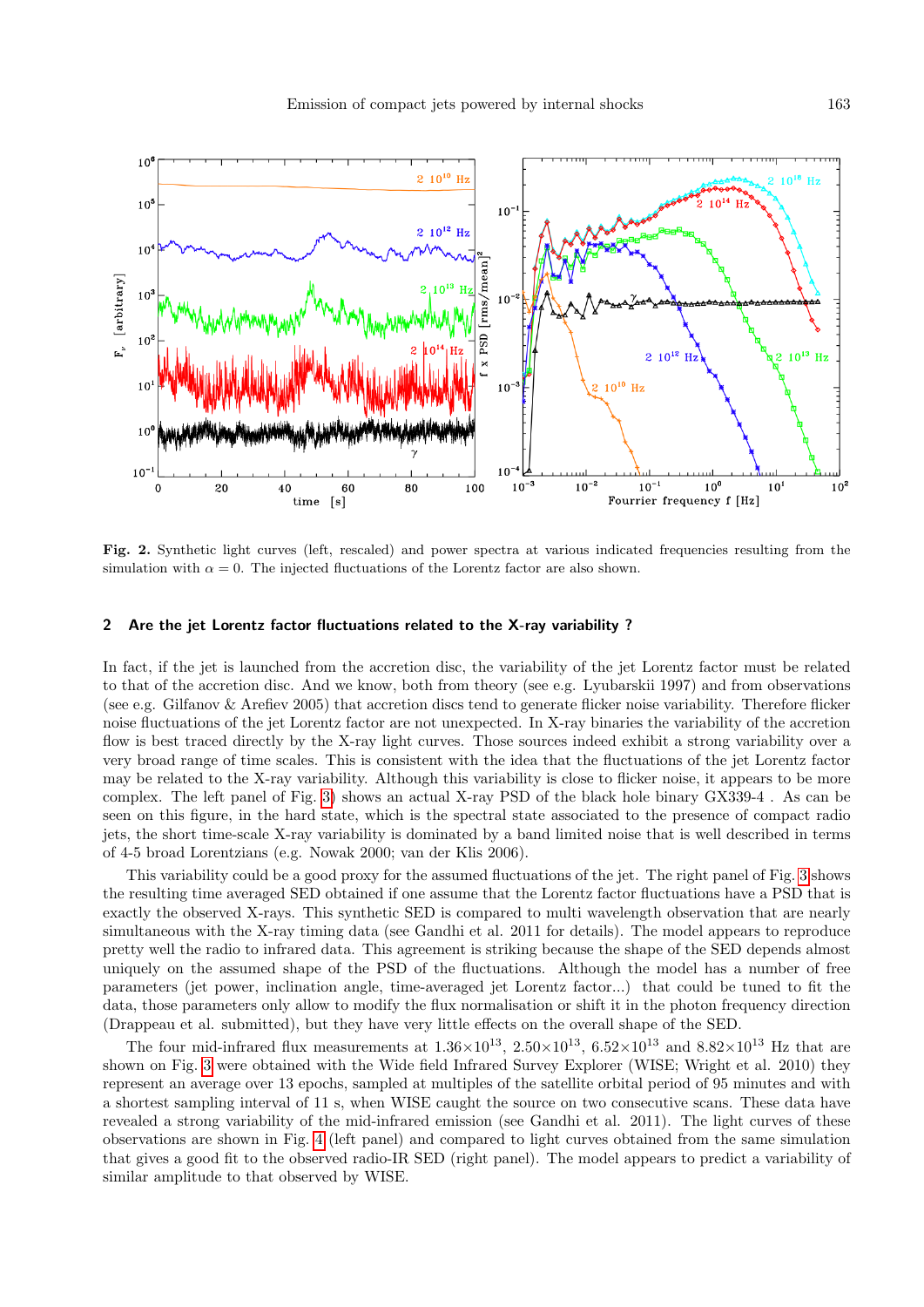

<span id="page-2-0"></span>Fig. 2. Synthetic light curves (left, rescaled) and power spectra at various indicated frequencies resulting from the simulation with  $\alpha = 0$ . The injected fluctuations of the Lorentz factor are also shown.

### 2 Are the jet Lorentz factor fluctuations related to the X-ray variability ?

In fact, if the jet is launched from the accretion disc, the variability of the jet Lorentz factor must be related to that of the accretion disc. And we know, both from theory (see e.g. Lyubarskii 1997) and from observations (see e.g. Gilfanov & Arefiev 2005) that accretion discs tend to generate flicker noise variability. Therefore flicker noise fluctuations of the jet Lorentz factor are not unexpected. In X-ray binaries the variability of the accretion flow is best traced directly by the X-ray light curves. Those sources indeed exhibit a strong variability over a very broad range of time scales. This is consistent with the idea that the fluctuations of the jet Lorentz factor may be related to the X-ray variability. Although this variability is close to flicker noise, it appears to be more complex. The left panel of Fig. [3\)](#page-3-0) shows an actual X-ray PSD of the black hole binary GX339-4 . As can be seen on this figure, in the hard state, which is the spectral state associated to the presence of compact radio jets, the short time-scale X-ray variability is dominated by a band limited noise that is well described in terms of 4-5 broad Lorentzians (e.g. Nowak 2000; van der Klis 2006).

This variability could be a good proxy for the assumed fluctuations of the jet. The right panel of Fig. [3](#page-3-0) shows the resulting time averaged SED obtained if one assume that the Lorentz factor fluctuations have a PSD that is exactly the observed X-rays. This synthetic SED is compared to multi wavelength observation that are nearly simultaneous with the X-ray timing data (see Gandhi et al. 2011 for details). The model appears to reproduce pretty well the radio to infrared data. This agreement is striking because the shape of the SED depends almost uniquely on the assumed shape of the PSD of the fluctuations. Although the model has a number of free parameters (jet power, inclination angle, time-averaged jet Lorentz factor...) that could be tuned to fit the data, those parameters only allow to modify the flux normalisation or shift it in the photon frequency direction (Drappeau et al. submitted), but they have very little effects on the overall shape of the SED.

The four mid-infrared flux measurements at  $1.36\times10^{13}$ ,  $2.50\times10^{13}$ ,  $6.52\times10^{13}$  and  $8.82\times10^{13}$  Hz that are shown on Fig. [3](#page-3-0) were obtained with the Wide field Infrared Survey Explorer (WISE; Wright et al. 2010) they represent an average over 13 epochs, sampled at multiples of the satellite orbital period of 95 minutes and with a shortest sampling interval of 11 s, when WISE caught the source on two consecutive scans. These data have revealed a strong variability of the mid-infrared emission (see Gandhi et al. 2011). The light curves of these observations are shown in Fig. [4](#page-3-1) (left panel) and compared to light curves obtained from the same simulation that gives a good fit to the observed radio-IR SED (right panel). The model appears to predict a variability of similar amplitude to that observed by WISE.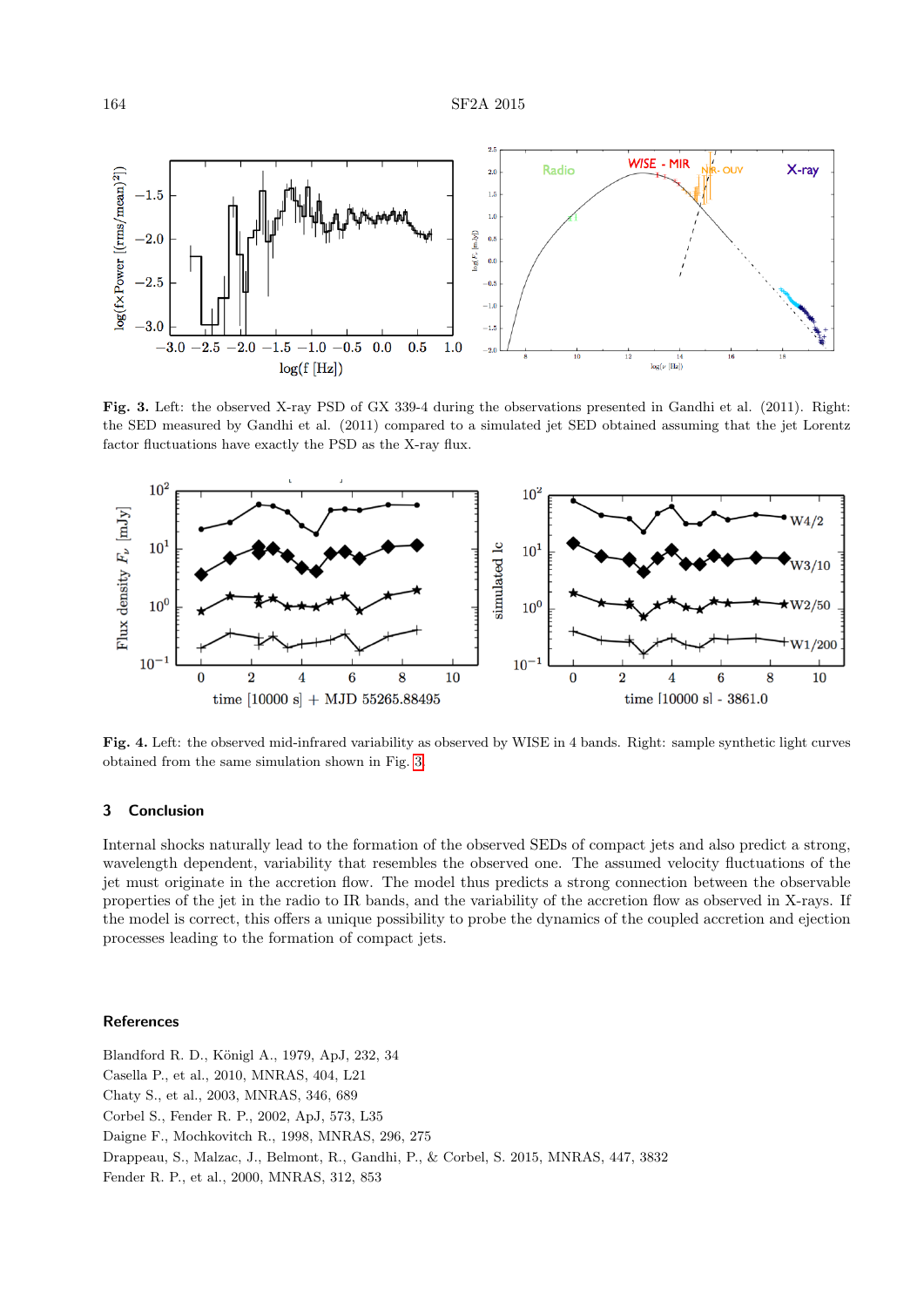

<span id="page-3-0"></span>Fig. 3. Left: the observed X-ray PSD of GX 339-4 during the observations presented in Gandhi et al. (2011). Right: the SED measured by Gandhi et al. (2011) compared to a simulated jet SED obtained assuming that the jet Lorentz factor fluctuations have exactly the PSD as the X-ray flux.



<span id="page-3-1"></span>Fig. 4. Left: the observed mid-infrared variability as observed by WISE in 4 bands. Right: sample synthetic light curves obtained from the same simulation shown in Fig. [3.](#page-3-0)

## 3 Conclusion

Internal shocks naturally lead to the formation of the observed SEDs of compact jets and also predict a strong, wavelength dependent, variability that resembles the observed one. The assumed velocity fluctuations of the jet must originate in the accretion flow. The model thus predicts a strong connection between the observable properties of the jet in the radio to IR bands, and the variability of the accretion flow as observed in X-rays. If the model is correct, this offers a unique possibility to probe the dynamics of the coupled accretion and ejection processes leading to the formation of compact jets.

#### References

Blandford R. D., Königl A., 1979, ApJ, 232, 34 Casella P., et al., 2010, MNRAS, 404, L21 Chaty S., et al., 2003, MNRAS, 346, 689 Corbel S., Fender R. P., 2002, ApJ, 573, L35 Daigne F., Mochkovitch R., 1998, MNRAS, 296, 275 Drappeau, S., Malzac, J., Belmont, R., Gandhi, P., & Corbel, S. 2015, MNRAS, 447, 3832 Fender R. P., et al., 2000, MNRAS, 312, 853